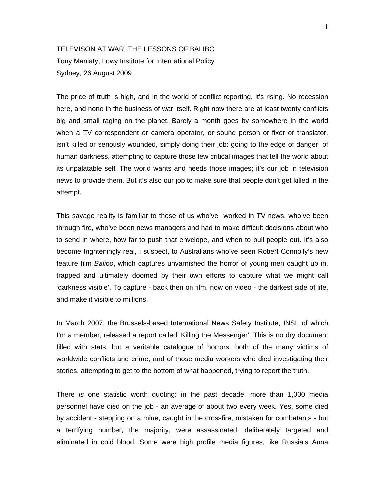## TELEVISON AT WAR: THE LESSONS OF BALIBO Tony Maniaty, Lowy Institute for International Policy Sydney, 26 August 2009

The price of truth is high, and in the world of conflict reporting, it's rising. No recession here, and none in the business of war itself. Right now there are at least twenty conflicts big and small raging on the planet. Barely a month goes by somewhere in the world when a TV correspondent or camera operator, or sound person or fixer or translator, isn't killed or seriously wounded, simply doing their job: going to the edge of danger, of human darkness, attempting to capture those few critical images that tell the world about its unpalatable self. The world wants and needs those images; it's our job in television news to provide them. But it's also our job to make sure that people don't get killed in the attempt.

This savage reality is familiar to those of us who've worked in TV news, who've been through fire, who've been news managers and had to make difficult decisions about who to send in where, how far to push that envelope, and when to pull people out. It's also become frighteningly real, I suspect, to Australians who've seen Robert Connolly's new feature film *Balibo*, which captures unvarnished the horror of young men caught up in, trapped and ultimately doomed by their own efforts to capture what we might call 'darkness visible'. To capture - back then on film, now on video - the darkest side of life, and make it visible to millions.

In March 2007, the Brussels-based International News Safety Institute, INSI, of which I'm a member, released a report called 'Killing the Messenger'. This is no dry document filled with stats, but a veritable catalogue of horrors: both of the many victims of worldwide conflicts and crime, and of those media workers who died investigating their stories, attempting to get to the bottom of what happened, trying to report the truth.

There *is* one statistic worth quoting: in the past decade, more than 1,000 media personnel have died on the job - an average of about two every week. Yes, some died by accident - stepping on a mine, caught in the crossfire, mistaken for combatants - but a terrifying number, the majority, were assassinated, deliberately targeted and eliminated in cold blood. Some were high profile media figures, like Russia's Anna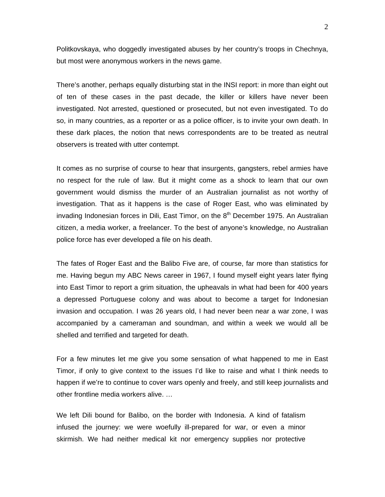Politkovskaya, who doggedly investigated abuses by her country's troops in Chechnya, but most were anonymous workers in the news game.

There's another, perhaps equally disturbing stat in the INSI report: in more than eight out of ten of these cases in the past decade, the killer or killers have never been investigated. Not arrested, questioned or prosecuted, but not even investigated. To do so, in many countries, as a reporter or as a police officer, is to invite your own death. In these dark places, the notion that news correspondents are to be treated as neutral observers is treated with utter contempt.

It comes as no surprise of course to hear that insurgents, gangsters, rebel armies have no respect for the rule of law. But it might come as a shock to learn that our own government would dismiss the murder of an Australian journalist as not worthy of investigation. That as it happens is the case of Roger East, who was eliminated by invading Indonesian forces in Dili, East Timor, on the  $8<sup>th</sup>$  December 1975. An Australian citizen, a media worker, a freelancer. To the best of anyone's knowledge, no Australian police force has ever developed a file on his death.

The fates of Roger East and the Balibo Five are, of course, far more than statistics for me. Having begun my ABC News career in 1967, I found myself eight years later flying into East Timor to report a grim situation, the upheavals in what had been for 400 years a depressed Portuguese colony and was about to become a target for Indonesian invasion and occupation. I was 26 years old, I had never been near a war zone, I was accompanied by a cameraman and soundman, and within a week we would all be shelled and terrified and targeted for death.

For a few minutes let me give you some sensation of what happened to me in East Timor, if only to give context to the issues I'd like to raise and what I think needs to happen if we're to continue to cover wars openly and freely, and still keep journalists and other frontline media workers alive. …

We left Dili bound for Balibo, on the border with Indonesia. A kind of fatalism infused the journey: we were woefully ill-prepared for war, or even a minor skirmish. We had neither medical kit nor emergency supplies nor protective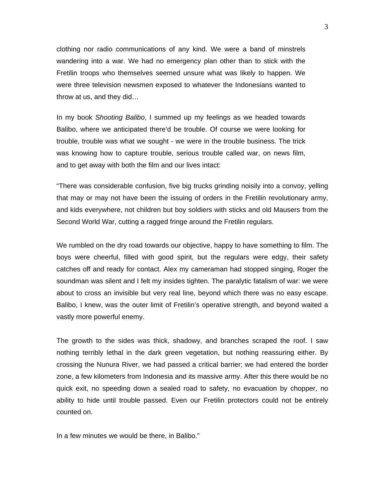clothing nor radio communications of any kind. We were a band of minstrels wandering into a war. We had no emergency plan other than to stick with the Fretilin troops who themselves seemed unsure what was likely to happen. We were three television newsmen exposed to whatever the Indonesians wanted to throw at us, and they did…

In my book *Shooting Balibo*, I summed up my feelings as we headed towards Balibo, where we anticipated there'd be trouble. Of course we were looking for trouble, trouble was what we sought - we were in the trouble business. The trick was knowing how to capture trouble, serious trouble called war, on news film, and to get away with both the film and our lives intact:

"There was considerable confusion, five big trucks grinding noisily into a convoy, yelling that may or may not have been the issuing of orders in the Fretilin revolutionary army, and kids everywhere, not children but boy soldiers with sticks and old Mausers from the Second World War, cutting a ragged fringe around the Fretilin regulars.

We rumbled on the dry road towards our objective, happy to have something to film. The boys were cheerful, filled with good spirit, but the regulars were edgy, their safety catches off and ready for contact. Alex my cameraman had stopped singing, Roger the soundman was silent and I felt my insides tighten. The paralytic fatalism of war: we were about to cross an invisible but very real line, beyond which there was no easy escape. Balibo, I knew, was the outer limit of Fretilin's operative strength, and beyond waited a vastly more powerful enemy.

The growth to the sides was thick, shadowy, and branches scraped the roof. I saw nothing terribly lethal in the dark green vegetation, but nothing reassuring either. By crossing the Nunura River, we had passed a critical barrier; we had entered the border zone, a few kilometers from Indonesia and its massive army. After this there would be no quick exit, no speeding down a sealed road to safety, no evacuation by chopper, no ability to hide until trouble passed. Even our Fretilin protectors could not be entirely counted on.

In a few minutes we would be there, in Balibo."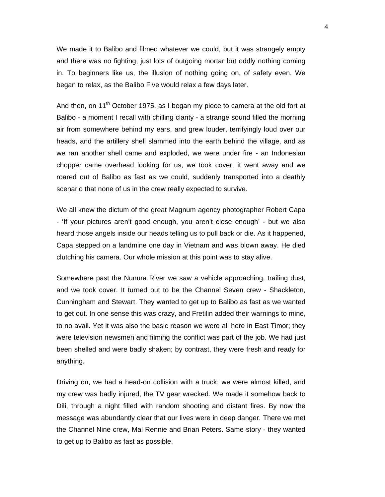We made it to Balibo and filmed whatever we could, but it was strangely empty and there was no fighting, just lots of outgoing mortar but oddly nothing coming in. To beginners like us, the illusion of nothing going on, of safety even. We began to relax, as the Balibo Five would relax a few days later.

And then, on 11<sup>th</sup> October 1975, as I began my piece to camera at the old fort at Balibo - a moment I recall with chilling clarity - a strange sound filled the morning air from somewhere behind my ears, and grew louder, terrifyingly loud over our heads, and the artillery shell slammed into the earth behind the village, and as we ran another shell came and exploded, we were under fire - an Indonesian chopper came overhead looking for us, we took cover, it went away and we roared out of Balibo as fast as we could, suddenly transported into a deathly scenario that none of us in the crew really expected to survive.

We all knew the dictum of the great Magnum agency photographer Robert Capa - 'If your pictures aren't good enough, you aren't close enough' - but we also heard those angels inside our heads telling us to pull back or die. As it happened, Capa stepped on a landmine one day in Vietnam and was blown away. He died clutching his camera. Our whole mission at this point was to stay alive.

Somewhere past the Nunura River we saw a vehicle approaching, trailing dust, and we took cover. It turned out to be the Channel Seven crew - Shackleton, Cunningham and Stewart. They wanted to get up to Balibo as fast as we wanted to get out. In one sense this was crazy, and Fretilin added their warnings to mine, to no avail. Yet it was also the basic reason we were all here in East Timor; they were television newsmen and filming the conflict was part of the job. We had just been shelled and were badly shaken; by contrast, they were fresh and ready for anything.

Driving on, we had a head-on collision with a truck; we were almost killed, and my crew was badly injured, the TV gear wrecked. We made it somehow back to Dili, through a night filled with random shooting and distant fires. By now the message was abundantly clear that our lives were in deep danger. There we met the Channel Nine crew, Mal Rennie and Brian Peters. Same story - they wanted to get up to Balibo as fast as possible.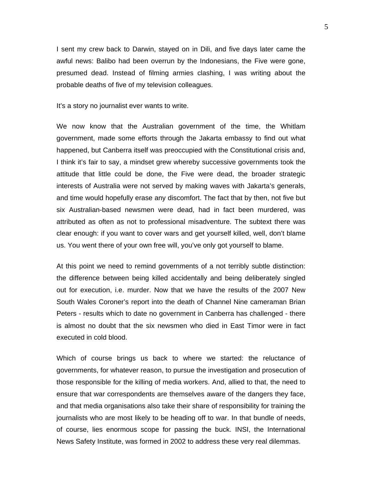I sent my crew back to Darwin, stayed on in Dili, and five days later came the awful news: Balibo had been overrun by the Indonesians, the Five were gone, presumed dead. Instead of filming armies clashing, I was writing about the probable deaths of five of my television colleagues.

It's a story no journalist ever wants to write.

We now know that the Australian government of the time, the Whitlam government, made some efforts through the Jakarta embassy to find out what happened, but Canberra itself was preoccupied with the Constitutional crisis and, I think it's fair to say, a mindset grew whereby successive governments took the attitude that little could be done, the Five were dead, the broader strategic interests of Australia were not served by making waves with Jakarta's generals, and time would hopefully erase any discomfort. The fact that by then, not five but six Australian-based newsmen were dead, had in fact been murdered, was attributed as often as not to professional misadventure. The subtext there was clear enough: if you want to cover wars and get yourself killed, well, don't blame us. You went there of your own free will, you've only got yourself to blame.

At this point we need to remind governments of a not terribly subtle distinction: the difference between being killed accidentally and being deliberately singled out for execution, i.e. murder. Now that we have the results of the 2007 New South Wales Coroner's report into the death of Channel Nine cameraman Brian Peters - results which to date no government in Canberra has challenged - there is almost no doubt that the six newsmen who died in East Timor were in fact executed in cold blood.

Which of course brings us back to where we started: the reluctance of governments, for whatever reason, to pursue the investigation and prosecution of those responsible for the killing of media workers. And, allied to that, the need to ensure that war correspondents are themselves aware of the dangers they face, and that media organisations also take their share of responsibility for training the journalists who are most likely to be heading off to war. In that bundle of needs, of course, lies enormous scope for passing the buck. INSI, the International News Safety Institute, was formed in 2002 to address these very real dilemmas.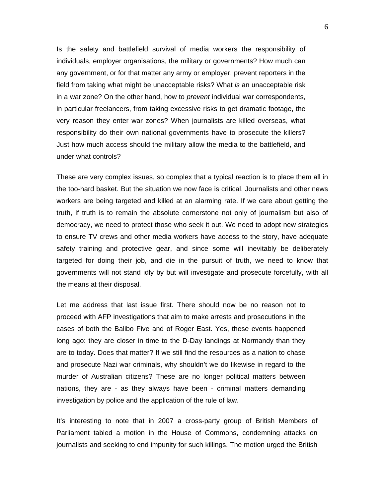Is the safety and battlefield survival of media workers the responsibility of individuals, employer organisations, the military or governments? How much can any government, or for that matter any army or employer, prevent reporters in the field from taking what might be unacceptable risks? What *is* an unacceptable risk in a war zone? On the other hand, how to *prevent* individual war correspondents, in particular freelancers, from taking excessive risks to get dramatic footage, the very reason they enter war zones? When journalists are killed overseas, what responsibility do their own national governments have to prosecute the killers? Just how much access should the military allow the media to the battlefield, and under what controls?

These are very complex issues, so complex that a typical reaction is to place them all in the too-hard basket. But the situation we now face is critical. Journalists and other news workers are being targeted and killed at an alarming rate. If we care about getting the truth, if truth is to remain the absolute cornerstone not only of journalism but also of democracy, we need to protect those who seek it out. We need to adopt new strategies to ensure TV crews and other media workers have access to the story, have adequate safety training and protective gear, and since some will inevitably be deliberately targeted for doing their job, and die in the pursuit of truth, we need to know that governments will not stand idly by but will investigate and prosecute forcefully, with all the means at their disposal.

Let me address that last issue first. There should now be no reason not to proceed with AFP investigations that aim to make arrests and prosecutions in the cases of both the Balibo Five and of Roger East. Yes, these events happened long ago: they are closer in time to the D-Day landings at Normandy than they are to today. Does that matter? If we still find the resources as a nation to chase and prosecute Nazi war criminals, why shouldn't we do likewise in regard to the murder of Australian citizens? These are no longer political matters between nations, they are - as they always have been - criminal matters demanding investigation by police and the application of the rule of law.

It's interesting to note that in 2007 a cross-party group of British Members of Parliament tabled a motion in the House of Commons, condemning attacks on journalists and seeking to end impunity for such killings. The motion urged the British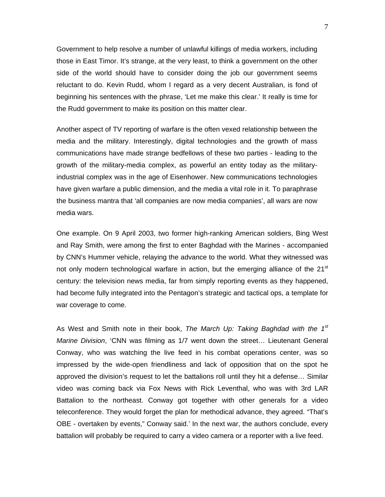Government to help resolve a number of unlawful killings of media workers, including those in East Timor. It's strange, at the very least, to think a government on the other side of the world should have to consider doing the job our government seems reluctant to do. Kevin Rudd, whom I regard as a very decent Australian, is fond of beginning his sentences with the phrase, 'Let me make this clear.' It really is time for the Rudd government to make its position on this matter clear.

Another aspect of TV reporting of warfare is the often vexed relationship between the media and the military. Interestingly, digital technologies and the growth of mass communications have made strange bedfellows of these two parties - leading to the growth of the military-media complex, as powerful an entity today as the militaryindustrial complex was in the age of Eisenhower. New communications technologies have given warfare a public dimension, and the media a vital role in it. To paraphrase the business mantra that 'all companies are now media companies', all wars are now media wars.

One example. On 9 April 2003, two former high-ranking American soldiers, Bing West and Ray Smith, were among the first to enter Baghdad with the Marines - accompanied by CNN's Hummer vehicle, relaying the advance to the world. What they witnessed was not only modern technological warfare in action, but the emerging alliance of the 21<sup>st</sup> century: the television news media, far from simply reporting events as they happened, had become fully integrated into the Pentagon's strategic and tactical ops, a template for war coverage to come.

As West and Smith note in their book, *The March Up: Taking Baghdad with the 1st Marine Division*, 'CNN was filming as 1/7 went down the street… Lieutenant General Conway, who was watching the live feed in his combat operations center, was so impressed by the wide-open friendliness and lack of opposition that on the spot he approved the division's request to let the battalions roll until they hit a defense… Similar video was coming back via Fox News with Rick Leventhal, who was with 3rd LAR Battalion to the northeast. Conway got together with other generals for a video teleconference. They would forget the plan for methodical advance, they agreed. "That's OBE - overtaken by events," Conway said.' In the next war, the authors conclude, every battalion will probably be required to carry a video camera or a reporter with a live feed.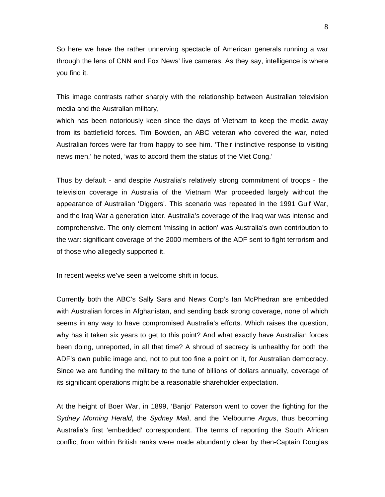So here we have the rather unnerving spectacle of American generals running a war through the lens of CNN and Fox News' live cameras. As they say, intelligence is where you find it.

This image contrasts rather sharply with the relationship between Australian television media and the Australian military,

which has been notoriously keen since the days of Vietnam to keep the media away from its battlefield forces. Tim Bowden, an ABC veteran who covered the war, noted Australian forces were far from happy to see him. 'Their instinctive response to visiting news men,' he noted, 'was to accord them the status of the Viet Cong.'

Thus by default - and despite Australia's relatively strong commitment of troops - the television coverage in Australia of the Vietnam War proceeded largely without the appearance of Australian 'Diggers'. This scenario was repeated in the 1991 Gulf War, and the Iraq War a generation later. Australia's coverage of the Iraq war was intense and comprehensive. The only element 'missing in action' was Australia's own contribution to the war: significant coverage of the 2000 members of the ADF sent to fight terrorism and of those who allegedly supported it.

In recent weeks we've seen a welcome shift in focus.

Currently both the ABC's Sally Sara and News Corp's Ian McPhedran are embedded with Australian forces in Afghanistan, and sending back strong coverage, none of which seems in any way to have compromised Australia's efforts. Which raises the question, why has it taken six years to get to this point? And what exactly have Australian forces been doing, unreported, in all that time? A shroud of secrecy is unhealthy for both the ADF's own public image and, not to put too fine a point on it, for Australian democracy. Since we are funding the military to the tune of billions of dollars annually, coverage of its significant operations might be a reasonable shareholder expectation.

At the height of Boer War, in 1899, 'Banjo' Paterson went to cover the fighting for the *Sydney Morning Herald*, the *Sydney Mail*, and the Melbourne *Argus*, thus becoming Australia's first 'embedded' correspondent. The terms of reporting the South African conflict from within British ranks were made abundantly clear by then-Captain Douglas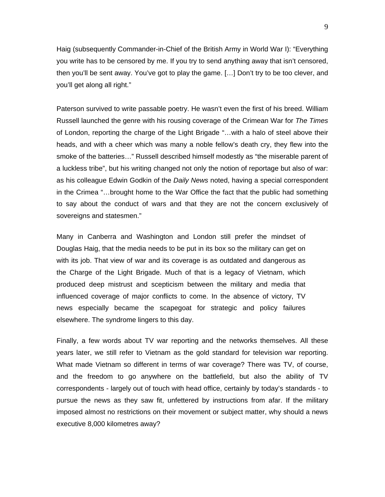Haig (subsequently Commander-in-Chief of the British Army in World War I): "Everything you write has to be censored by me. If you try to send anything away that isn't censored, then you'll be sent away. You've got to play the game. […] Don't try to be too clever, and you'll get along all right."

Paterson survived to write passable poetry. He wasn't even the first of his breed. William Russell launched the genre with his rousing coverage of the Crimean War for *The Times* of London, reporting the charge of the Light Brigade "…with a halo of steel above their heads, and with a cheer which was many a noble fellow's death cry, they flew into the smoke of the batteries…" Russell described himself modestly as "the miserable parent of a luckless tribe", but his writing changed not only the notion of reportage but also of war: as his colleague Edwin Godkin of the *Daily News* noted, having a special correspondent in the Crimea "…brought home to the War Office the fact that the public had something to say about the conduct of wars and that they are not the concern exclusively of sovereigns and statesmen."

Many in Canberra and Washington and London still prefer the mindset of Douglas Haig, that the media needs to be put in its box so the military can get on with its job. That view of war and its coverage is as outdated and dangerous as the Charge of the Light Brigade. Much of that is a legacy of Vietnam, which produced deep mistrust and scepticism between the military and media that influenced coverage of major conflicts to come. In the absence of victory, TV news especially became the scapegoat for strategic and policy failures elsewhere. The syndrome lingers to this day.

Finally, a few words about TV war reporting and the networks themselves. All these years later, we still refer to Vietnam as the gold standard for television war reporting. What made Vietnam so different in terms of war coverage? There was TV, of course, and the freedom to go anywhere on the battlefield, but also the ability of TV correspondents - largely out of touch with head office, certainly by today's standards - to pursue the news as they saw fit, unfettered by instructions from afar. If the military imposed almost no restrictions on their movement or subject matter, why should a news executive 8,000 kilometres away?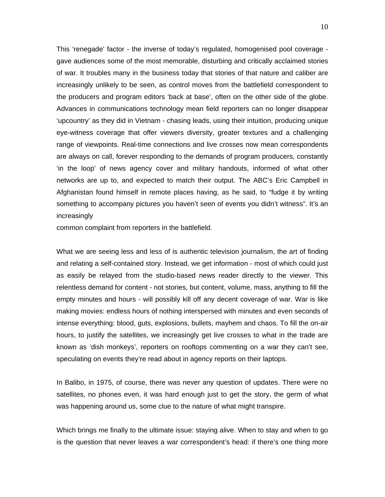This 'renegade' factor - the inverse of today's regulated, homogenised pool coverage gave audiences some of the most memorable, disturbing and critically acclaimed stories of war. It troubles many in the business today that stories of that nature and caliber are increasingly unlikely to be seen, as control moves from the battlefield correspondent to the producers and program editors 'back at base', often on the other side of the globe. Advances in communications technology mean field reporters can no longer disappear 'upcountry' as they did in Vietnam - chasing leads, using their intuition, producing unique eye-witness coverage that offer viewers diversity, greater textures and a challenging range of viewpoints. Real-time connections and live crosses now mean correspondents are always on call, forever responding to the demands of program producers, constantly 'in the loop' of news agency cover and military handouts, informed of what other networks are up to, and expected to match their output. The ABC's Eric Campbell in Afghanistan found himself in remote places having, as he said, to "fudge it by writing something to accompany pictures you haven't seen of events you didn't witness". It's an increasingly

common complaint from reporters in the battlefield.

What we are seeing less and less of is authentic television journalism, the art of finding and relating a self-contained story. Instead, we get information - most of which could just as easily be relayed from the studio-based news reader directly to the viewer. This relentless demand for content - not stories, but content, volume, mass, anything to fill the empty minutes and hours - will possibly kill off any decent coverage of war. War is like making movies: endless hours of nothing interspersed with minutes and even seconds of intense everything: blood, guts, explosions, bullets, mayhem and chaos. To fill the on-air hours, to justify the satellites, we increasingly get live crosses to what in the trade are known as 'dish monkeys', reporters on rooftops commenting on a war they can't see, speculating on events they're read about in agency reports on their laptops.

In Balibo, in 1975, of course, there was never any question of updates. There were no satellites, no phones even, it was hard enough just to get the story, the germ of what was happening around us, some clue to the nature of what might transpire.

Which brings me finally to the ultimate issue: staying alive. When to stay and when to go is the question that never leaves a war correspondent's head: if there's one thing more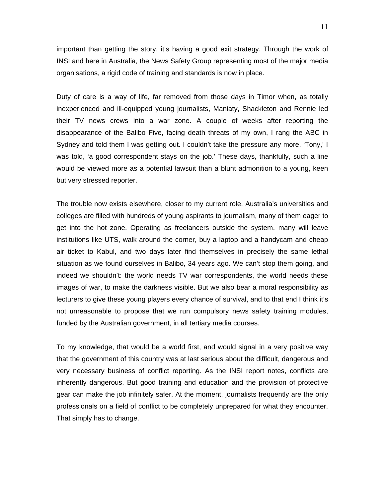important than getting the story, it's having a good exit strategy. Through the work of INSI and here in Australia, the News Safety Group representing most of the major media organisations, a rigid code of training and standards is now in place.

Duty of care is a way of life, far removed from those days in Timor when, as totally inexperienced and ill-equipped young journalists, Maniaty, Shackleton and Rennie led their TV news crews into a war zone. A couple of weeks after reporting the disappearance of the Balibo Five, facing death threats of my own, I rang the ABC in Sydney and told them I was getting out. I couldn't take the pressure any more. 'Tony,' I was told, 'a good correspondent stays on the job.' These days, thankfully, such a line would be viewed more as a potential lawsuit than a blunt admonition to a young, keen but very stressed reporter.

The trouble now exists elsewhere, closer to my current role. Australia's universities and colleges are filled with hundreds of young aspirants to journalism, many of them eager to get into the hot zone. Operating as freelancers outside the system, many will leave institutions like UTS, walk around the corner, buy a laptop and a handycam and cheap air ticket to Kabul, and two days later find themselves in precisely the same lethal situation as we found ourselves in Balibo, 34 years ago. We can't stop them going, and indeed we shouldn't: the world needs TV war correspondents, the world needs these images of war, to make the darkness visible. But we also bear a moral responsibility as lecturers to give these young players every chance of survival, and to that end I think it's not unreasonable to propose that we run compulsory news safety training modules, funded by the Australian government, in all tertiary media courses.

To my knowledge, that would be a world first, and would signal in a very positive way that the government of this country was at last serious about the difficult, dangerous and very necessary business of conflict reporting. As the INSI report notes, conflicts are inherently dangerous. But good training and education and the provision of protective gear can make the job infinitely safer. At the moment, journalists frequently are the only professionals on a field of conflict to be completely unprepared for what they encounter. That simply has to change.